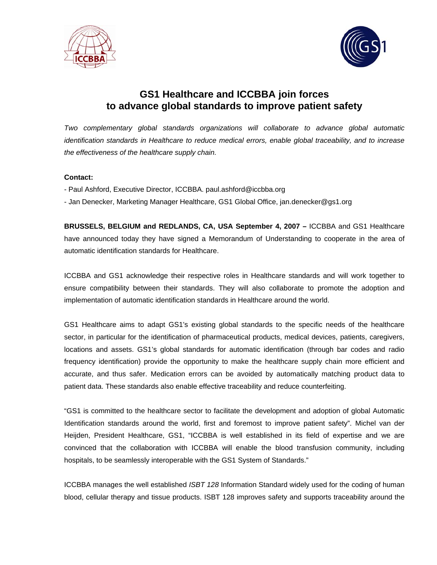



# **GS1 Healthcare and ICCBBA join forces to advance global standards to improve patient safety**

*Two complementary global standards organizations will collaborate to advance global automatic identification standards in Healthcare to reduce medical errors, enable global traceability, and to increase the effectiveness of the healthcare supply chain.* 

# **Contact:**

- Paul Ashford, Executive Director, ICCBBA. paul.ashford@iccbba.org
- Jan Denecker, Marketing Manager Healthcare, GS1 Global Office, jan.denecker@gs1.org

**BRUSSELS, BELGIUM and REDLANDS, CA, USA September 4, 2007 –** ICCBBA and GS1 Healthcare have announced today they have signed a Memorandum of Understanding to cooperate in the area of automatic identification standards for Healthcare.

ICCBBA and GS1 acknowledge their respective roles in Healthcare standards and will work together to ensure compatibility between their standards. They will also collaborate to promote the adoption and implementation of automatic identification standards in Healthcare around the world.

GS1 Healthcare aims to adapt GS1's existing global standards to the specific needs of the healthcare sector, in particular for the identification of pharmaceutical products, medical devices, patients, caregivers, locations and assets. GS1's global standards for automatic identification (through bar codes and radio frequency identification) provide the opportunity to make the healthcare supply chain more efficient and accurate, and thus safer. Medication errors can be avoided by automatically matching product data to patient data. These standards also enable effective traceability and reduce counterfeiting.

"GS1 is committed to the healthcare sector to facilitate the development and adoption of global Automatic Identification standards around the world, first and foremost to improve patient safety". Michel van der Heijden, President Healthcare, GS1, "ICCBBA is well established in its field of expertise and we are convinced that the collaboration with ICCBBA will enable the blood transfusion community, including hospitals, to be seamlessly interoperable with the GS1 System of Standards."

ICCBBA manages the well established *ISBT 128* Information Standard widely used for the coding of human blood, cellular therapy and tissue products. ISBT 128 improves safety and supports traceability around the